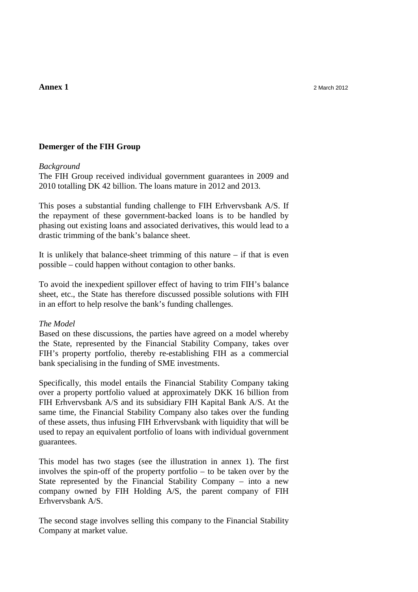## **Demerger of the FIH Group**

## *Background*

The FIH Group received individual government guarantees in 2009 and 2010 totalling DK 42 billion. The loans mature in 2012 and 2013.

This poses a substantial funding challenge to FIH Erhvervsbank A/S. If the repayment of these government-backed loans is to be handled by phasing out existing loans and associated derivatives, this would lead to a drastic trimming of the bank's balance sheet.

It is unlikely that balance-sheet trimming of this nature  $-$  if that is even possible – could happen without contagion to other banks.

To avoid the inexpedient spillover effect of having to trim FIH's balance sheet, etc., the State has therefore discussed possible solutions with FIH in an effort to help resolve the bank's funding challenges.

## *The Model*

Based on these discussions, the parties have agreed on a model whereby the State, represented by the Financial Stability Company, takes over FIH's property portfolio, thereby re-establishing FIH as a commercial bank specialising in the funding of SME investments.

Specifically, this model entails the Financial Stability Company taking over a property portfolio valued at approximately DKK 16 billion from FIH Erhvervsbank A/S and its subsidiary FIH Kapital Bank A/S. At the same time, the Financial Stability Company also takes over the funding of these assets, thus infusing FIH Erhvervsbank with liquidity that will be used to repay an equivalent portfolio of loans with individual government guarantees.

This model has two stages (see the illustration in annex 1). The first involves the spin-off of the property portfolio – to be taken over by the State represented by the Financial Stability Company – into a new company owned by FIH Holding A/S, the parent company of FIH Erhvervsbank A/S.

The second stage involves selling this company to the Financial Stability Company at market value.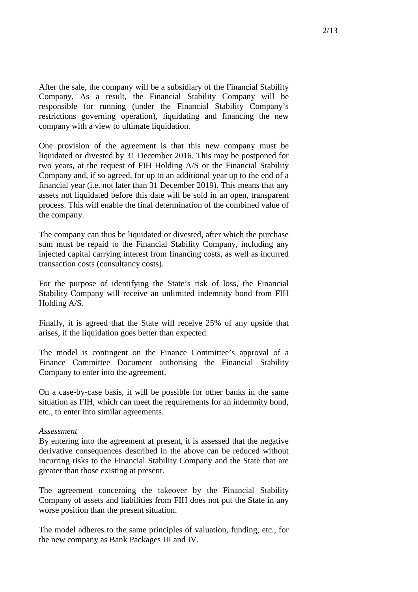After the sale, the company will be a subsidiary of the Financial Stability Company. As a result, the Financial Stability Company will be responsible for running (under the Financial Stability Company's restrictions governing operation), liquidating and financing the new company with a view to ultimate liquidation.

One provision of the agreement is that this new company must be liquidated or divested by 31 December 2016. This may be postponed for two years, at the request of FIH Holding A/S or the Financial Stability Company and, if so agreed, for up to an additional year up to the end of a financial year (i.e. not later than 31 December 2019). This means that any assets not liquidated before this date will be sold in an open, transparent process. This will enable the final determination of the combined value of the company.

The company can thus be liquidated or divested, after which the purchase sum must be repaid to the Financial Stability Company, including any injected capital carrying interest from financing costs, as well as incurred transaction costs (consultancy costs).

For the purpose of identifying the State's risk of loss, the Financial Stability Company will receive an unlimited indemnity bond from FIH Holding A/S.

Finally, it is agreed that the State will receive 25% of any upside that arises, if the liquidation goes better than expected.

The model is contingent on the Finance Committee's approval of a Finance Committee Document authorising the Financial Stability Company to enter into the agreement.

On a case-by-case basis, it will be possible for other banks in the same situation as FIH, which can meet the requirements for an indemnity bond, etc., to enter into similar agreements.

## *Assessment*

By entering into the agreement at present, it is assessed that the negative derivative consequences described in the above can be reduced without incurring risks to the Financial Stability Company and the State that are greater than those existing at present.

The agreement concerning the takeover by the Financial Stability Company of assets and liabilities from FIH does not put the State in any worse position than the present situation.

The model adheres to the same principles of valuation, funding, etc., for the new company as Bank Packages III and IV.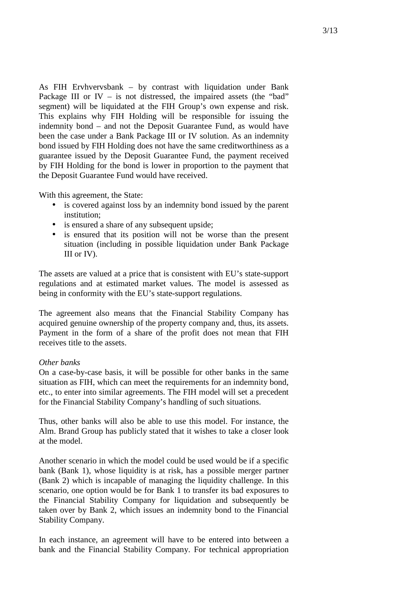As FIH Ervhvervsbank – by contrast with liquidation under Bank Package III or  $IV -$  is not distressed, the impaired assets (the "bad" segment) will be liquidated at the FIH Group's own expense and risk. This explains why FIH Holding will be responsible for issuing the indemnity bond – and not the Deposit Guarantee Fund, as would have been the case under a Bank Package III or IV solution. As an indemnity bond issued by FIH Holding does not have the same creditworthiness as a guarantee issued by the Deposit Guarantee Fund, the payment received by FIH Holding for the bond is lower in proportion to the payment that the Deposit Guarantee Fund would have received.

With this agreement, the State:

- is covered against loss by an indemnity bond issued by the parent institution;
- is ensured a share of any subsequent upside;
- is ensured that its position will not be worse than the present situation (including in possible liquidation under Bank Package III or IV).

The assets are valued at a price that is consistent with EU's state-support regulations and at estimated market values. The model is assessed as being in conformity with the EU's state-support regulations.

The agreement also means that the Financial Stability Company has acquired genuine ownership of the property company and, thus, its assets. Payment in the form of a share of the profit does not mean that FIH receives title to the assets.

# *Other banks*

On a case-by-case basis, it will be possible for other banks in the same situation as FIH, which can meet the requirements for an indemnity bond, etc., to enter into similar agreements. The FIH model will set a precedent for the Financial Stability Company's handling of such situations.

Thus, other banks will also be able to use this model. For instance, the Alm. Brand Group has publicly stated that it wishes to take a closer look at the model.

Another scenario in which the model could be used would be if a specific bank (Bank 1), whose liquidity is at risk, has a possible merger partner (Bank 2) which is incapable of managing the liquidity challenge. In this scenario, one option would be for Bank 1 to transfer its bad exposures to the Financial Stability Company for liquidation and subsequently be taken over by Bank 2, which issues an indemnity bond to the Financial Stability Company.

In each instance, an agreement will have to be entered into between a bank and the Financial Stability Company. For technical appropriation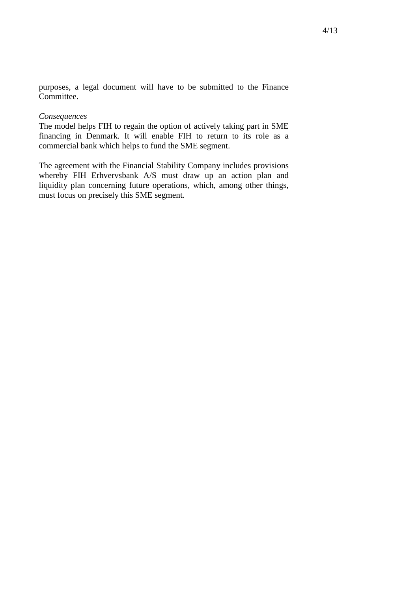purposes, a legal document will have to be submitted to the Finance Committee.

#### *Consequences*

The model helps FIH to regain the option of actively taking part in SME financing in Denmark. It will enable FIH to return to its role as a commercial bank which helps to fund the SME segment.

The agreement with the Financial Stability Company includes provisions whereby FIH Erhvervsbank A/S must draw up an action plan and liquidity plan concerning future operations, which, among other things, must focus on precisely this SME segment.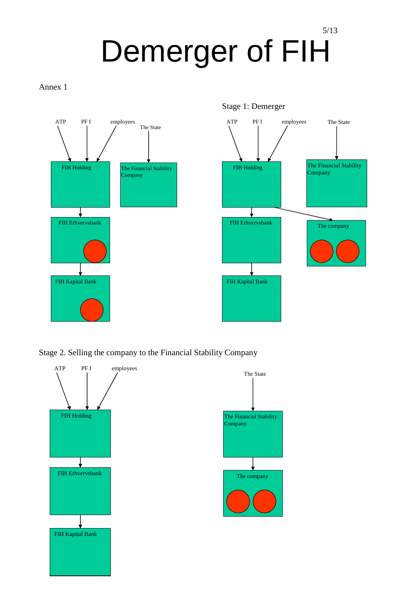# 5/13 Demerger of FIH

Annex 1



Stage 2. Selling the company to the Financial Stability Company



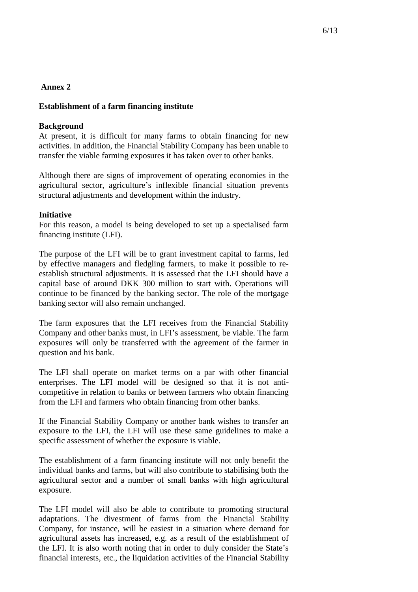## **Establishment of a farm financing institute**

## **Background**

At present, it is difficult for many farms to obtain financing for new activities. In addition, the Financial Stability Company has been unable to transfer the viable farming exposures it has taken over to other banks.

Although there are signs of improvement of operating economies in the agricultural sector, agriculture's inflexible financial situation prevents structural adjustments and development within the industry.

## **Initiative**

For this reason, a model is being developed to set up a specialised farm financing institute (LFI).

The purpose of the LFI will be to grant investment capital to farms, led by effective managers and fledgling farmers, to make it possible to reestablish structural adjustments. It is assessed that the LFI should have a capital base of around DKK 300 million to start with. Operations will continue to be financed by the banking sector. The role of the mortgage banking sector will also remain unchanged.

The farm exposures that the LFI receives from the Financial Stability Company and other banks must, in LFI's assessment, be viable. The farm exposures will only be transferred with the agreement of the farmer in question and his bank.

The LFI shall operate on market terms on a par with other financial enterprises. The LFI model will be designed so that it is not anticompetitive in relation to banks or between farmers who obtain financing from the LFI and farmers who obtain financing from other banks.

If the Financial Stability Company or another bank wishes to transfer an exposure to the LFI, the LFI will use these same guidelines to make a specific assessment of whether the exposure is viable.

The establishment of a farm financing institute will not only benefit the individual banks and farms, but will also contribute to stabilising both the agricultural sector and a number of small banks with high agricultural exposure.

The LFI model will also be able to contribute to promoting structural adaptations. The divestment of farms from the Financial Stability Company, for instance, will be easiest in a situation where demand for agricultural assets has increased, e.g. as a result of the establishment of the LFI. It is also worth noting that in order to duly consider the State's financial interests, etc., the liquidation activities of the Financial Stability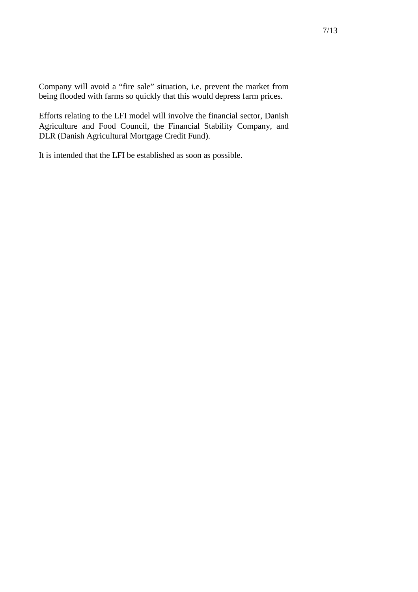Company will avoid a "fire sale" situation, i.e. prevent the market from being flooded with farms so quickly that this would depress farm prices.

Efforts relating to the LFI model will involve the financial sector, Danish Agriculture and Food Council, the Financial Stability Company, and DLR (Danish Agricultural Mortgage Credit Fund).

It is intended that the LFI be established as soon as possible.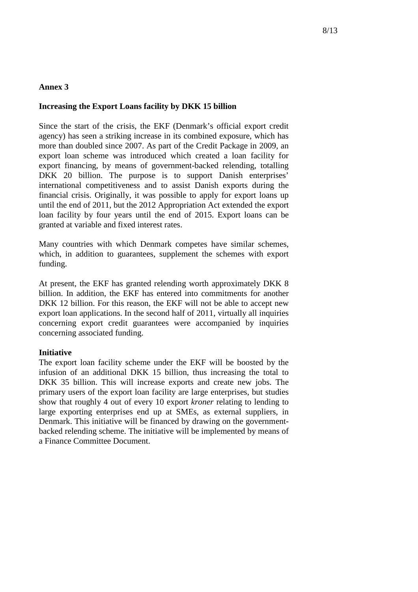## **Increasing the Export Loans facility by DKK 15 billion**

Since the start of the crisis, the EKF (Denmark's official export credit agency) has seen a striking increase in its combined exposure, which has more than doubled since 2007. As part of the Credit Package in 2009, an export loan scheme was introduced which created a loan facility for export financing, by means of government-backed relending, totalling DKK 20 billion. The purpose is to support Danish enterprises' international competitiveness and to assist Danish exports during the financial crisis. Originally, it was possible to apply for export loans up until the end of 2011, but the 2012 Appropriation Act extended the export loan facility by four years until the end of 2015. Export loans can be granted at variable and fixed interest rates.

Many countries with which Denmark competes have similar schemes, which, in addition to guarantees, supplement the schemes with export funding.

At present, the EKF has granted relending worth approximately DKK 8 billion. In addition, the EKF has entered into commitments for another DKK 12 billion. For this reason, the EKF will not be able to accept new export loan applications. In the second half of 2011, virtually all inquiries concerning export credit guarantees were accompanied by inquiries concerning associated funding.

## **Initiative**

The export loan facility scheme under the EKF will be boosted by the infusion of an additional DKK 15 billion, thus increasing the total to DKK 35 billion. This will increase exports and create new jobs. The primary users of the export loan facility are large enterprises, but studies show that roughly 4 out of every 10 export *kroner* relating to lending to large exporting enterprises end up at SMEs, as external suppliers, in Denmark. This initiative will be financed by drawing on the governmentbacked relending scheme. The initiative will be implemented by means of a Finance Committee Document.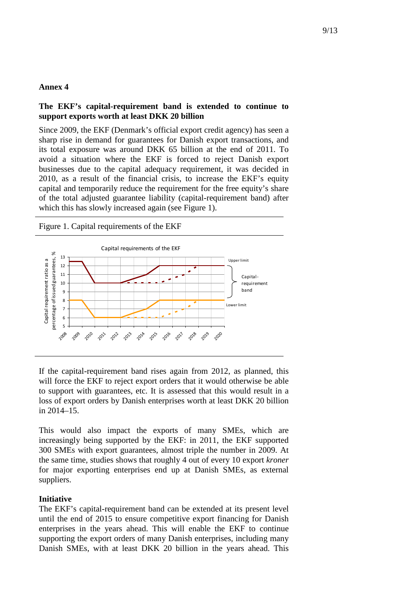# **The EKF's capital-requirement band is extended to continue to support exports worth at least DKK 20 billion**

Since 2009, the EKF (Denmark's official export credit agency) has seen a sharp rise in demand for guarantees for Danish export transactions, and its total exposure was around DKK 65 billion at the end of 2011. To avoid a situation where the EKF is forced to reject Danish export businesses due to the capital adequacy requirement, it was decided in 2010, as a result of the financial crisis, to increase the EKF's equity capital and temporarily reduce the requirement for the free equity's share of the total adjusted guarantee liability (capital-requirement band) after which this has slowly increased again (see Figure 1).

Figure 1. Capital requirements of the EKF



If the capital-requirement band rises again from 2012, as planned, this will force the EKF to reject export orders that it would otherwise be able to support with guarantees, etc. It is assessed that this would result in a loss of export orders by Danish enterprises worth at least DKK 20 billion in 2014–15.

This would also impact the exports of many SMEs, which are increasingly being supported by the EKF: in 2011, the EKF supported 300 SMEs with export guarantees, almost triple the number in 2009. At the same time, studies shows that roughly 4 out of every 10 export *kroner* for major exporting enterprises end up at Danish SMEs, as external suppliers.

#### **Initiative**

The EKF's capital-requirement band can be extended at its present level until the end of 2015 to ensure competitive export financing for Danish enterprises in the years ahead. This will enable the EKF to continue supporting the export orders of many Danish enterprises, including many Danish SMEs, with at least DKK 20 billion in the years ahead. This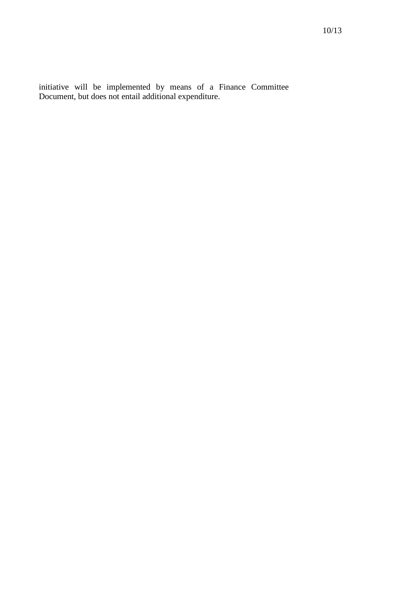initiative will be implemented by means of a Finance Committee Document, but does not entail additional expenditure.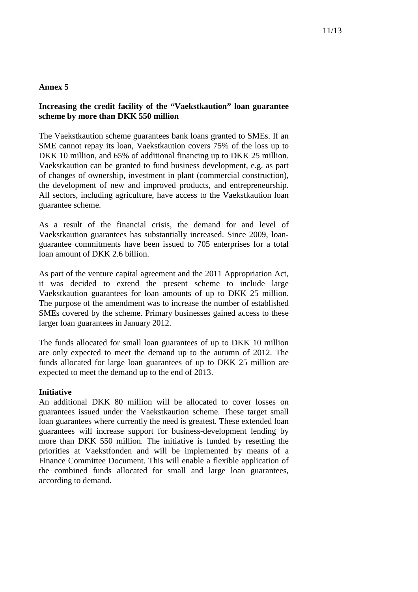# **Increasing the credit facility of the "Vaekstkaution" loan guarantee scheme by more than DKK 550 million**

The Vaekstkaution scheme guarantees bank loans granted to SMEs. If an SME cannot repay its loan, Vaekstkaution covers 75% of the loss up to DKK 10 million, and 65% of additional financing up to DKK 25 million. Vaekstkaution can be granted to fund business development, e.g. as part of changes of ownership, investment in plant (commercial construction), the development of new and improved products, and entrepreneurship. All sectors, including agriculture, have access to the Vaekstkaution loan guarantee scheme.

As a result of the financial crisis, the demand for and level of Vaekstkaution guarantees has substantially increased. Since 2009, loanguarantee commitments have been issued to 705 enterprises for a total loan amount of DKK 2.6 billion.

As part of the venture capital agreement and the 2011 Appropriation Act, it was decided to extend the present scheme to include large Vaekstkaution guarantees for loan amounts of up to DKK 25 million. The purpose of the amendment was to increase the number of established SMEs covered by the scheme. Primary businesses gained access to these larger loan guarantees in January 2012.

The funds allocated for small loan guarantees of up to DKK 10 million are only expected to meet the demand up to the autumn of 2012. The funds allocated for large loan guarantees of up to DKK 25 million are expected to meet the demand up to the end of 2013.

## **Initiative**

An additional DKK 80 million will be allocated to cover losses on guarantees issued under the Vaekstkaution scheme. These target small loan guarantees where currently the need is greatest. These extended loan guarantees will increase support for business-development lending by more than DKK 550 million. The initiative is funded by resetting the priorities at Vaekstfonden and will be implemented by means of a Finance Committee Document. This will enable a flexible application of the combined funds allocated for small and large loan guarantees, according to demand.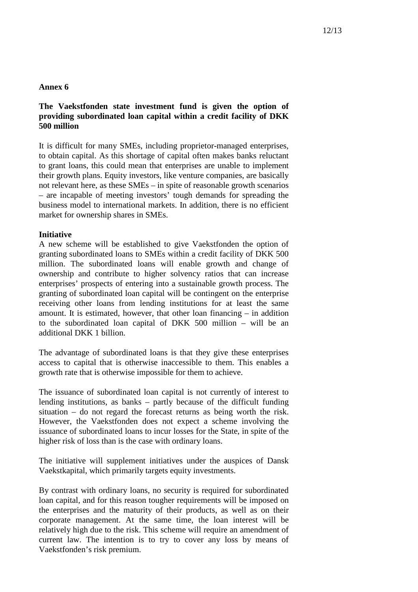# **The Vaekstfonden state investment fund is given the option of providing subordinated loan capital within a credit facility of DKK 500 million**

It is difficult for many SMEs, including proprietor-managed enterprises, to obtain capital. As this shortage of capital often makes banks reluctant to grant loans, this could mean that enterprises are unable to implement their growth plans. Equity investors, like venture companies, are basically not relevant here, as these SMEs – in spite of reasonable growth scenarios – are incapable of meeting investors' tough demands for spreading the business model to international markets. In addition, there is no efficient market for ownership shares in SMEs.

# **Initiative**

A new scheme will be established to give Vaekstfonden the option of granting subordinated loans to SMEs within a credit facility of DKK 500 million. The subordinated loans will enable growth and change of ownership and contribute to higher solvency ratios that can increase enterprises' prospects of entering into a sustainable growth process. The granting of subordinated loan capital will be contingent on the enterprise receiving other loans from lending institutions for at least the same amount. It is estimated, however, that other loan financing – in addition to the subordinated loan capital of DKK 500 million – will be an additional DKK 1 billion.

The advantage of subordinated loans is that they give these enterprises access to capital that is otherwise inaccessible to them. This enables a growth rate that is otherwise impossible for them to achieve.

The issuance of subordinated loan capital is not currently of interest to lending institutions, as banks – partly because of the difficult funding situation – do not regard the forecast returns as being worth the risk. However, the Vaekstfonden does not expect a scheme involving the issuance of subordinated loans to incur losses for the State, in spite of the higher risk of loss than is the case with ordinary loans.

The initiative will supplement initiatives under the auspices of Dansk Vaekstkapital, which primarily targets equity investments.

By contrast with ordinary loans, no security is required for subordinated loan capital, and for this reason tougher requirements will be imposed on the enterprises and the maturity of their products, as well as on their corporate management. At the same time, the loan interest will be relatively high due to the risk. This scheme will require an amendment of current law. The intention is to try to cover any loss by means of Vaekstfonden's risk premium.